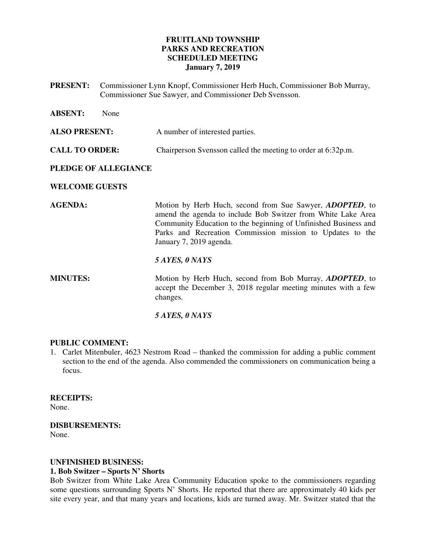# **FRUITLAND TOWNSHIP PARKS AND RECREATION SCHEDULED MEETING January 7, 2019**

**PRESENT:** Commissioner Lynn Knopf, Commissioner Herb Huch, Commissioner Bob Murray, Commissioner Sue Sawyer, and Commissioner Deb Svensson.

| <b>ABSENT:</b>        | None |                                                                                                                                                                                                                                                                                             |
|-----------------------|------|---------------------------------------------------------------------------------------------------------------------------------------------------------------------------------------------------------------------------------------------------------------------------------------------|
| <b>ALSO PRESENT:</b>  |      | A number of interested parties.                                                                                                                                                                                                                                                             |
| <b>CALL TO ORDER:</b> |      | Chairperson Svensson called the meeting to order at 6:32p.m.                                                                                                                                                                                                                                |
| PLEDGE OF ALLEGIANCE  |      |                                                                                                                                                                                                                                                                                             |
| <b>WELCOME GUESTS</b> |      |                                                                                                                                                                                                                                                                                             |
| <b>AGENDA:</b>        |      | Motion by Herb Huch, second from Sue Sawyer, <i>ADOPTED</i> , to<br>amend the agenda to include Bob Switzer from White Lake Area<br>Community Education to the beginning of Unfinished Business and<br>Parks and Recreation Commission mission to Updates to the<br>January 7, 2019 agenda. |
|                       |      | 5 AYES, 0 NAYS                                                                                                                                                                                                                                                                              |
| <b>MINUTES:</b>       |      | Motion by Herb Huch, second from Bob Murray, <i>ADOPTED</i> , to<br>accept the December 3, 2018 regular meeting minutes with a few<br>changes.                                                                                                                                              |
|                       |      |                                                                                                                                                                                                                                                                                             |

#### *5 AYES, 0 NAYS*

# **PUBLIC COMMENT:**

1. Carlet Mitenbuler, 4623 Nestrom Road – thanked the commission for adding a public comment section to the end of the agenda. Also commended the commissioners on communication being a focus.

# **RECEIPTS:**

None.

# **DISBURSEMENTS:**

None.

# **UNFINISHED BUSINESS:**

# **1. Bob Switzer – Sports N' Shorts**

Bob Switzer from White Lake Area Community Education spoke to the commissioners regarding some questions surrounding Sports N' Shorts. He reported that there are approximately 40 kids per site every year, and that many years and locations, kids are turned away. Mr. Switzer stated that the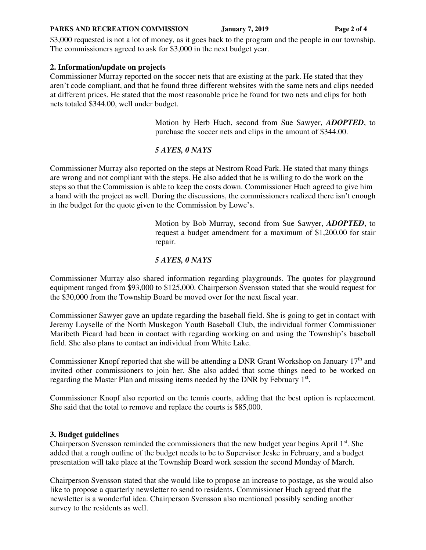#### **PARKS AND RECREATION COMMISSION** January 7, 2019 **Page 2 of 4**

\$3,000 requested is not a lot of money, as it goes back to the program and the people in our township. The commissioners agreed to ask for \$3,000 in the next budget year.

#### **2. Information/update on projects**

Commissioner Murray reported on the soccer nets that are existing at the park. He stated that they aren't code compliant, and that he found three different websites with the same nets and clips needed at different prices. He stated that the most reasonable price he found for two nets and clips for both nets totaled \$344.00, well under budget.

> Motion by Herb Huch, second from Sue Sawyer, *ADOPTED*, to purchase the soccer nets and clips in the amount of \$344.00.

#### *5 AYES, 0 NAYS*

Commissioner Murray also reported on the steps at Nestrom Road Park. He stated that many things are wrong and not compliant with the steps. He also added that he is willing to do the work on the steps so that the Commission is able to keep the costs down. Commissioner Huch agreed to give him a hand with the project as well. During the discussions, the commissioners realized there isn't enough in the budget for the quote given to the Commission by Lowe's.

> Motion by Bob Murray, second from Sue Sawyer, *ADOPTED*, to request a budget amendment for a maximum of \$1,200.00 for stair repair.

#### *5 AYES, 0 NAYS*

Commissioner Murray also shared information regarding playgrounds. The quotes for playground equipment ranged from \$93,000 to \$125,000. Chairperson Svensson stated that she would request for the \$30,000 from the Township Board be moved over for the next fiscal year.

Commissioner Sawyer gave an update regarding the baseball field. She is going to get in contact with Jeremy Loyselle of the North Muskegon Youth Baseball Club, the individual former Commissioner Maribeth Picard had been in contact with regarding working on and using the Township's baseball field. She also plans to contact an individual from White Lake.

Commissioner Knopf reported that she will be attending a DNR Grant Workshop on January  $17<sup>th</sup>$  and invited other commissioners to join her. She also added that some things need to be worked on regarding the Master Plan and missing items needed by the DNR by February  $1<sup>st</sup>$ .

Commissioner Knopf also reported on the tennis courts, adding that the best option is replacement. She said that the total to remove and replace the courts is \$85,000.

#### **3. Budget guidelines**

Chairperson Svensson reminded the commissioners that the new budget year begins April  $1<sup>st</sup>$ . She added that a rough outline of the budget needs to be to Supervisor Jeske in February, and a budget presentation will take place at the Township Board work session the second Monday of March.

Chairperson Svensson stated that she would like to propose an increase to postage, as she would also like to propose a quarterly newsletter to send to residents. Commissioner Huch agreed that the newsletter is a wonderful idea. Chairperson Svensson also mentioned possibly sending another survey to the residents as well.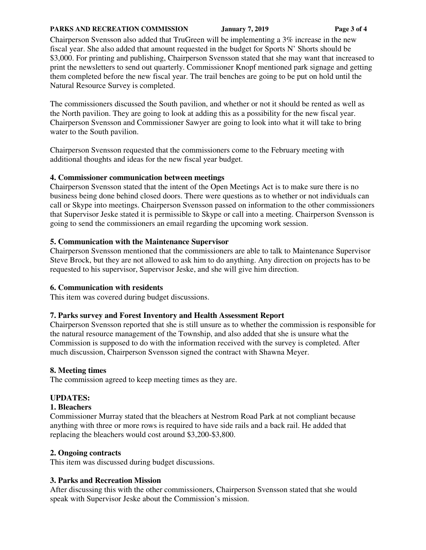#### **PARKS AND RECREATION COMMISSION** January 7, 2019 **Page 3 of 4**

Chairperson Svensson also added that TruGreen will be implementing a 3% increase in the new fiscal year. She also added that amount requested in the budget for Sports N' Shorts should be \$3,000. For printing and publishing, Chairperson Svensson stated that she may want that increased to print the newsletters to send out quarterly. Commissioner Knopf mentioned park signage and getting them completed before the new fiscal year. The trail benches are going to be put on hold until the Natural Resource Survey is completed.

The commissioners discussed the South pavilion, and whether or not it should be rented as well as the North pavilion. They are going to look at adding this as a possibility for the new fiscal year. Chairperson Svensson and Commissioner Sawyer are going to look into what it will take to bring water to the South pavilion.

Chairperson Svensson requested that the commissioners come to the February meeting with additional thoughts and ideas for the new fiscal year budget.

# **4. Commissioner communication between meetings**

Chairperson Svensson stated that the intent of the Open Meetings Act is to make sure there is no business being done behind closed doors. There were questions as to whether or not individuals can call or Skype into meetings. Chairperson Svensson passed on information to the other commissioners that Supervisor Jeske stated it is permissible to Skype or call into a meeting. Chairperson Svensson is going to send the commissioners an email regarding the upcoming work session.

# **5. Communication with the Maintenance Supervisor**

Chairperson Svensson mentioned that the commissioners are able to talk to Maintenance Supervisor Steve Brock, but they are not allowed to ask him to do anything. Any direction on projects has to be requested to his supervisor, Supervisor Jeske, and she will give him direction.

# **6. Communication with residents**

This item was covered during budget discussions.

# **7. Parks survey and Forest Inventory and Health Assessment Report**

Chairperson Svensson reported that she is still unsure as to whether the commission is responsible for the natural resource management of the Township, and also added that she is unsure what the Commission is supposed to do with the information received with the survey is completed. After much discussion, Chairperson Svensson signed the contract with Shawna Meyer.

# **8. Meeting times**

The commission agreed to keep meeting times as they are.

# **UPDATES:**

# **1. Bleachers**

Commissioner Murray stated that the bleachers at Nestrom Road Park at not compliant because anything with three or more rows is required to have side rails and a back rail. He added that replacing the bleachers would cost around \$3,200-\$3,800.

# **2. Ongoing contracts**

This item was discussed during budget discussions.

# **3. Parks and Recreation Mission**

After discussing this with the other commissioners, Chairperson Svensson stated that she would speak with Supervisor Jeske about the Commission's mission.